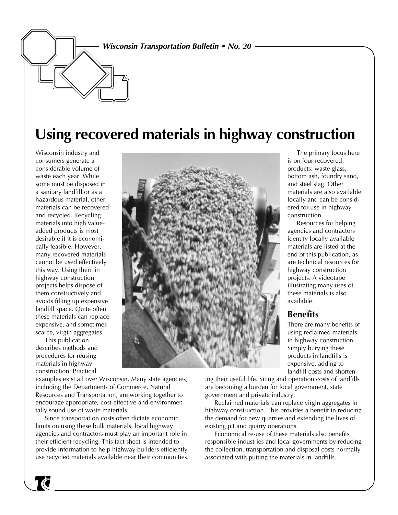#### **Wisconsin Transportation Bulletin • No. 20**

# **Using recovered materials in highway construction**

Wisconsin industry and consumers generate a considerable volume of waste each year. While some must be disposed in a sanitary landfill or as a hazardous material, other materials can be recovered and recycled. Recycling materials into high valueadded products is most desirable if it is economically feasible. However, many recovered materials cannot be used effectively this way. Using them in highway construction projects helps dispose of them constructively and avoids filling up expensive landfill space. Quite often these materials can replace expensive, and sometimes scarce, virgin aggregates.

This publication describes methods and procedures for reusing materials in highway construction. Practical

T

examples exist all over Wisconsin. Many state agencies, including the Departments of Commerce, Natural Resources and Transportation, are working together to encourage appropriate, cost-effective and environmentally sound use of waste materials.

Since transportation costs often dictate economic limits on using these bulk materials, local highway agencies and contractors must play an important role in their efficient recycling. This fact sheet is intended to provide information to help highway builders efficiently use recycled materials available near their communities.



The primary focus here is on four recovered products: waste glass, bottom ash, foundry sand, and steel slag. Other materials are also available locally and can be considered for use in highway construction.

Resources for helping agencies and contractors identify locally available materials are listed at the end of this publication, as are technical resources for highway construction projects. A videotape illustrating many uses of these materials is also available.

## **Benefits**

There are many benefits of using reclaimed materials in highway construction. Simply burying these products in landfills is expensive, adding to landfill costs and shorten-

ing their useful life. Siting and operation costs of landfills are becoming a burden for local government, state government and private industry.

Reclaimed materials can replace virgin aggregates in highway construction. This provides a benefit in reducing the demand for new quarries and extending the lives of existing pit and quarry operations.

Economical re-use of these materials also benefits responsible industries and local governments by reducing the collection, transportation and disposal costs normally associated with putting the materials in landfills.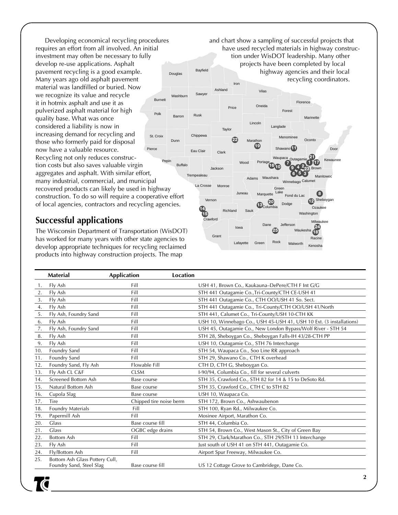Burnett Pepin Pierce Polk St. Croix Developing economical recycling procedures requires an effort from all involved. An initial investment may often be necessary to fully develop re-use applications. Asphalt pavement recycling is a good example. Many years ago old asphalt pavement material was landfilled or buried. Now we recognize its value and recycle it in hotmix asphalt and use it as pulverized asphalt material for high quality base. What was once considered a liability is now in increasing demand for recycling and those who formerly paid for disposal now have a valuable resource. Recycling not only reduces construction costs but also saves valuable virgin aggregates and asphalt. With similar effort, many industrial, commercial, and municipal recovered products can likely be used in highway construction. To do so will require a cooperative effort of local agencies, contractors and recycling agencies.

## **Successful applications**

The Wisconsin Department of Transportation (WisDOT) has worked for many years with other state agencies to develop appropriate techniques for recycling reclaimed products into highway construction projects. The map

Adams Ashland Barron **Bayfield** Buffalo Jackson COLO 94 223 Brown Winnebago Calumet **Chippewa Clark** Columbia Crawford Dane Dodge Door Douglas Dunn Eau Clair Florence Fond du Lac Forest Grant Gre Lake Iowa Iron Jackson Jefferson Juneau Kewaunee La Crosse Lincoln<br>
Langlade Manitowoc Marathon Marinet Marquette Milwauk Monroe **Oconto Oneida** Outagamie .<br>Ozau Portage Price Racine Richland Rock **Rusk** Sauk Sawyer Shawano<sup>[1</sup>1 Menominee Sheb **Taylor Trempealeau** Vernon Vilas Washburn Washington Waukesha Waupaca Waushara Wood **<sup>9</sup> <sup>4</sup> <sup>2</sup> 3 8 12 6 5 10 25 16 13 14 15 20 24 18 7 21 19 22 1 17 23** and chart show a sampling of successful projects that have used recycled materials in highway construction under WisDOT leadership. Many other projects have been completed by local highway agencies and their local recycling coordinators.

Green

Lafayette

Kenosha

Walworth

|     | <b>Material</b>                                            | <b>Application</b>      | Location                                                            |
|-----|------------------------------------------------------------|-------------------------|---------------------------------------------------------------------|
| 1.  | Fly Ash                                                    | Fill                    | USH 41, Brown Co., Kaukauna-DePere/CTH F Int G/G                    |
| 2.  | Fly Ash                                                    | Fill                    | STH 441 Outagamie Co., Tri-County/CTH CE-USH 41                     |
| 3.  | Fly Ash                                                    | Fill                    | STH 441 Outagamie Co., CTH OO/USH 41 So. Sect.                      |
| 4.  | Fly Ash                                                    | Fill                    | STH 441 Outagamie Co., Tri-County/CTH OO/USH 41/North               |
| 5.  | Fly Ash, Foundry Sand                                      | Fill                    | STH 441, Calumet Co., Tri-County/USH 10-CTH KK                      |
| 6.  | Fly Ash                                                    | Fill                    | USH 10, Winnebago Co., USH 45-USH 41, USH 10 Ext. (3 installations) |
| 7.  | Fly Ash, Foundry Sand                                      | Fill                    | USH 45, Outagamie Co., New London Bypass/Wolf River - STH 54        |
| 8.  | Fly Ash                                                    | Fill                    | STH 28, Sheboygan Co., Sheboygan Falls-IH 43/28-CTH PP              |
| 9.  | Fly Ash                                                    | Fill                    | USH 10, Outagamie Co., STH 76 Interchange                           |
| 10. | Foundry Sand                                               | Fill                    | STH 54, Waupaca Co., Soo Line RR approach                           |
| 11. | Foundry Sand                                               | Fill                    | STH 29, Shawano Co., CTH K overhead                                 |
| 12. | Foundry Sand, Fly Ash                                      | Flowable Fill           | CTH D, CTH G, Sheboygan Co.                                         |
| 13. | Fly Ash CL C&F                                             | <b>CLSM</b>             | I-90/94, Columbia Co., fill for several culverts                    |
| 14. | Screened Bottom Ash                                        | Base course             | STH 35, Crawford Co., STH 82 for 14 & 15 to DeSoto Rd.              |
| 15. | Natural Bottom Ash                                         | Base course             | STH 35, Crawford Co., CTH C to STH 82                               |
| 16. | Cupola Slag                                                | Base course             | USH 10, Waupaca Co.                                                 |
| 17. | Tire                                                       | Chipped tire noise berm | STH 172, Brown Co., Ashwaubenon                                     |
| 18. | Foundry Materials                                          | Fill                    | STH 100, Ryan Rd., Milwaukee Co.                                    |
| 19. | Papermill Ash                                              | Fill                    | Mosinee Airport, Marathon Co.                                       |
| 20. | Glass                                                      | Base course fill        | STH 44, Columbia Co.                                                |
| 21. | Glass                                                      | OGBC edge drains        | STH 54, Brown Co., West Mason St., City of Green Bay                |
| 22. | <b>Bottom Ash</b>                                          | Fill                    | STH 29, Clark/Marathon Co., STH 29/STH 13 Interchange               |
| 23. | Fly Ash                                                    | Fill                    | Just south of USH 41 on STH 441, Outagamie Co.                      |
| 24. | Fly/Bottom Ash                                             | Fill                    | Airport Spur Freeway, Milwaukee Co.                                 |
| 25. | Bottom Ash Glass Pottery Cull,<br>Foundry Sand, Steel Slag | Base course fill        | US 12 Cottage Grove to Cambridege, Dane Co.                         |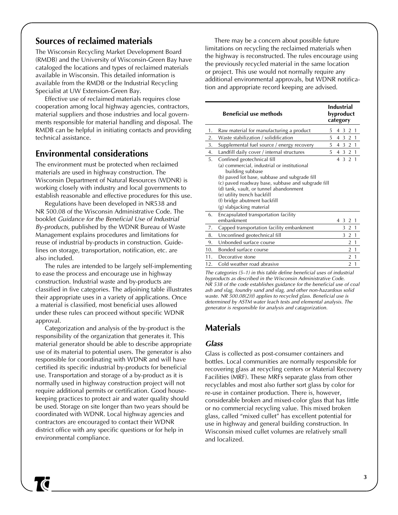## **Sources of reclaimed materials**

The Wisconsin Recycling Market Development Board (RMDB) and the University of Wisconsin-Green Bay have cataloged the locations and types of reclaimed materials available in Wisconsin. This detailed information is available from the RMDB or the Industrial Recycling Specialist at UW Extension-Green Bay.

Effective use of reclaimed materials requires close cooperation among local highway agencies, contractors, material suppliers and those industries and local governments responsible for material handling and disposal. The RMDB can be helpful in initiating contacts and providing technical assistance.

## **Environmental considerations**

The environment must be protected when reclaimed materials are used in highway construction. The Wisconsin Department of Natural Resources (WDNR) is working closely with industry and local governments to establish reasonable and effective procedures for this use.

Regulations have been developed in NR538 and NR 500.08 of the Wisconsin Administrative Code. The booklet Guidance for the Beneficial Use of Industrial By-products, published by the WDNR Bureau of Waste Management explains procedures and limitations for reuse of industrial by-products in construction. Guidelines on storage, transportation, notification, etc. are also included.

The rules are intended to be largely self-implementing to ease the process and encourage use in highway construction. Industrial waste and by-products are classified in five categories. The adjoining table illustrates their appropriate uses in a variety of applications. Once a material is classified, most beneficial uses allowed under these rules can proceed without specific WDNR approval.

Categorization and analysis of the by-product is the responsibility of the organization that generates it. This material generator should be able to describe appropriate use of its material to potential users. The generator is also responsible for coordinating with WDNR and will have certified its specific industrial by-products for beneficial use. Transportation and storage of a by-product as it is normally used in highway construction project will not require additional permits or certification. Good housekeeping practices to protect air and water quality should be used. Storage on site longer than two years should be coordinated with WDNR. Local highway agencies and contractors are encouraged to contact their WDNR district office with any specific questions or for help in environmental compliance.

There may be a concern about possible future limitations on recycling the reclaimed materials when the highway is reconstructed. The rules encourage using the previously recycled material in the same location or project. This use would not normally require any additional environmental approvals, but WDNR notification and appropriate record keeping are advised.

| <b>Beneficial use methods</b> |                                                                 |    | <b>Industrial</b><br>byproduct<br>category |  |  |
|-------------------------------|-----------------------------------------------------------------|----|--------------------------------------------|--|--|
| 1.                            | Raw material for manufacturing a product                        | 5  | 2<br>3<br>4<br>$\overline{1}$              |  |  |
| 2.                            | Waste stabilization / solidification                            | 5  | 4 3 2 1                                    |  |  |
| 3.                            | Supplemental fuel source / energy recovery                      | 5  | 4 3 2 1                                    |  |  |
| 4.                            | Landfill daily cover / internal structures                      | 5. | 4 3 2 1                                    |  |  |
| 5.                            | Confined geotechnical fill                                      |    | 4 3 2 1                                    |  |  |
|                               | (a) commercial, industrial or institutional<br>building subbase |    |                                            |  |  |
|                               | (b) paved lot base, subbase and subgrade fill                   |    |                                            |  |  |
|                               | (c) paved roadway base, subbase and subgrade fill               |    |                                            |  |  |
|                               | (d) tank, vault, or tunnel abandonment                          |    |                                            |  |  |
|                               | (e) utility trench backfill                                     |    |                                            |  |  |
|                               | (f) bridge abutment backfill                                    |    |                                            |  |  |
|                               | (g) slabjacking material                                        |    |                                            |  |  |
| 6.                            | Encapsulated transportation facility                            |    |                                            |  |  |
|                               | embankment                                                      |    | 4 3<br>2 1                                 |  |  |
| 7.                            | Capped transportation facility embankment                       |    | 2 <sub>1</sub><br>3                        |  |  |
| 8.                            | Unconfined geotechnical fill                                    |    | 3<br>2<br>$\overline{1}$                   |  |  |
| 9.                            | Unbonded surface course                                         |    | $\mathbf{1}$<br>2                          |  |  |
| 10.                           | Bonded surface course                                           |    | $\mathbf{1}$<br>2                          |  |  |
| 11.                           | Decorative stone                                                |    | 2 <sub>1</sub>                             |  |  |
| 12.                           | Cold weather road abrasive                                      |    | $\overline{2}$<br>$\overline{1}$           |  |  |

The categories (5–1) in this table define beneficial uses of industrial byproducts as described in the Wisconsin Administrative Code. NR 538 of the code establishes guidance for the beneficial use of coal ash and slag, foundry sand and slag, and other non-hazardous solid waste. NR 500.08(2)(f) applies to recycled glass. Beneficial use is determined by ASTM water leach tests and elemental analysis. The generator is responsible for analysis and catagorization.

### **Materials**

#### **Glass**

Glass is collected as post-consumer containers and bottles. Local communities are normally responsible for recovering glass at recycling centers or Material Recovery Facilities (MRF). These MRFs separate glass from other recyclables and most also further sort glass by color for re-use in container production. There is, however, considerable broken and mixed-color glass that has little or no commercial recycling value. This mixed broken glass, called "mixed cullet" has excellent potential for use in highway and general building construction. In Wisconsin mixed cullet volumes are relatively small and localized.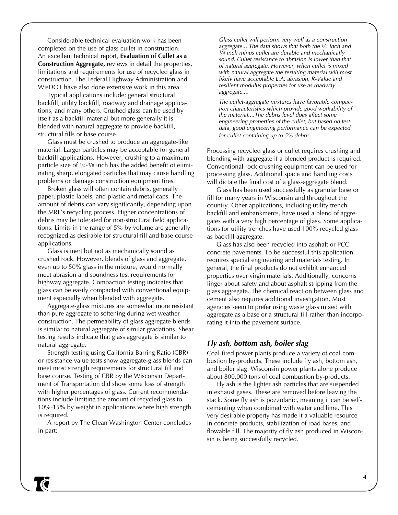Considerable technical evaluation work has been completed on the use of glass cullet in construction. An excellent technical report, **Evaluation of Cullet as a Construction Aggregate,** reviews in detail the properties, limitations and requirements for use of recycled glass in construction. The Federal Highway Administration and WisDOT have also done extensive work in this area.

Typical applications include: general structural backfill, utility backfill, roadway and drainage applications, and many others. Crushed glass can be used by itself as a backfill material but more generally it is blended with natural aggregate to provide backfill, structural fills or base course.

Glass must be crushed to produce an aggregate-like material. Larger particles may be acceptable for general backfill applications. However, crushing to a maximum particle size of 1⁄4-3⁄8 inch has the added benefit of eliminating sharp, elongated particles that may cause handling problems or damage construction equipment tires.

Broken glass will often contain debris, generally paper, plastic labels, and plastic and metal caps. The amount of debris can vary significantly, depending upon the MRF's recycling process. Higher concentrations of debris may be tolerated for non-structural field applications. Limits in the range of 5% by volume are generally recognized as desirable for structural fill and base course applications.

Glass is inert but not as mechanically sound as crushed rock. However, blends of glass and aggregate, even up to 50% glass in the mixture, would normally meet abrasion and soundness test requirements for highway aggregate. Compaction testing indicates that glass can be easily compacted with conventional equipment especially when blended with aggregate.

Aggregate-glass mixtures are somewhat more resistant than pure aggregate to softening during wet weather construction. The permeability of glass aggregate blends is similar to natural aggregate of similar gradations. Shear testing results indicate that glass aggregate is similar to natural aggregate.

Strength testing using California Barring Ratio (CBR) or resistance value tests show aggregate-glass blends can meet most strength requirements for structural fill and base course. Testing of CBR by the Wisconsin Department of Transportation did show some loss of strength with higher percentages of glass. Current recommendations include limiting the amount of recycled glass to 10%-15% by weight in applications where high strength is required.

A report by The Clean Washington Center concludes in part:

Glass cullet will perform very well as a construction aggregate....The data shows that both the  $1/4$  inch and  $3/4$  inch minus cullet are durable and mechanically sound. Cullet resistance to abrasion is lower than that of natural aggregate. However, when cullet is mixed with natural aggregate the resulting material will most likely have acceptable L.A. abrasion, R-Value and resilient modulus properties for use as roadway aggregate....

The cullet-aggregate mixtures have favorable compaction characteristics which provide good workability of the material....The debris level does affect some engineering properties of the cullet, but based on test data, good engineering performance can be expected for cullet containing up to 5% debris.

Processing recycled glass or cullet requires crushing and blending with aggregate if a blended product is required. Conventional rock crushing equipment can be used for processing glass. Additional space and handling costs will dictate the final cost of a glass-aggregate blend.

Glass has been used successfully as granular base or fill for many years in Wisconsin and throughout the country. Other applications, including utility trench backfill and embankments, have used a blend of aggregates with a very high percentage of glass. Some applications for utility trenches have used 100% recycled glass as backfill aggregate.

Glass has also been recycled into asphalt or PCC concrete pavements. To be successful this application requires special engineering and materials testing. In general, the final products do not exhibit enhanced properties over virgin materials. Additionally, concerns linger about safety and about asphalt stripping from the glass aggregate. The chemical reaction between glass and cement also requires additional investigation. Most agencies seem to prefer using waste glass mixed with aggregate as a base or a structural fill rather than incorporating it into the pavement surface.

#### **Fly ash, bottom ash, boiler slag**

Coal-fired power plants produce a variety of coal combustion by-products. These include fly ash, bottom ash, and boiler slag. Wisconsin power plants alone produce about 800,000 tons of coal combustion by-products.

Fly ash is the lighter ash particles that are suspended in exhaust gases. These are removed before leaving the stack. Some fly ash is pozzolanic, meaning it can be selfcementing when combined with water and lime. This very desirable property has made it a valuable resource in concrete products, stabilization of road bases, and flowable fill. The majority of fly ash produced in Wisconsin is being successfully recycled.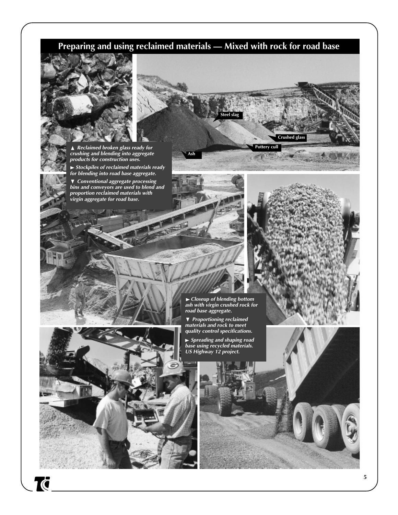## **Preparing and using reclaimed materials — Mixed with rock for road base**

 **Ash**



**Reclaimed broken glass ready for crushing and blending into aggregate products for construction uses.**

 **Stockpiles of reclaimed materials ready for blending into road base aggregate.**

 ▼ **Conventional aggregate processing bins and conveyors are used to blend and proportion reclaimed materials with** ► Stockpiles of reclaimed mat<br>for blending into road base ag<sub>g</sub><br>▼ Conventional aggregate pro<br>bins and conveyors are used to<br>proportion reclaimed material<br>virgin aggregate for road base.



 **Pottery cull**

 **Steel slag**

 **Crushed glass**



Tā

 **Closeup of blending bottom ash with virgin crushed rock for road base aggregate.**

 ▼ **Proportioning reclaimed materials and rock to meet quality control specifications.** ► Closeup of blending *k*<br>ash with virgin crushed<br>road base aggregate.<br>▼ Proportioning reclain<br>materials and rock to m<br>quality control specifica<br>► Spreading and shapin<br>base using recycled mat<br>US Highway 12 project.

 **Spreading and shaping road base using recycled materials.**

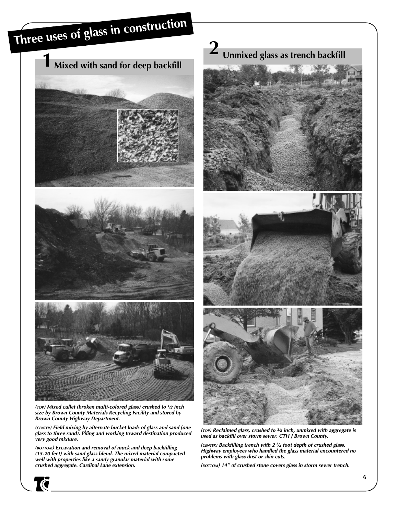

**(TOP) Mixed cullet (broken multi-colored glass) crushed to <sup>1</sup>⁄2 inch size by Brown County Materials Recycling Facility and stored by Brown County Highway Department.**

**(CENTER) Field mixing by alternate bucket loads of glass and sand (one glass to three sand). Piling and working toward destination produced very good mixture.**

**(BOTTOM) Excavation and removal of muck and deep backfilling (15-20 feet) with sand glass blend. The mixed material compacted well with properties like a sandy granular material with some crushed aggregate. Cardinal Lane extension.**

 **Unmixed glass as trench backfill 2**







**(TOP) Reclaimed glass, crushed to <sup>3</sup>⁄8 inch, unmixed with aggregate is used as backfill over storm sewer. CTH J Brown County.**

**(CENTER) Backfilling trench with 2 <sup>1</sup>⁄2 foot depth of crushed glass. Highway employees who handled the glass material encountered no problems with glass dust or skin cuts.**

**(BOTTOM) 14" of crushed stone covers glass in storm sewer trench.**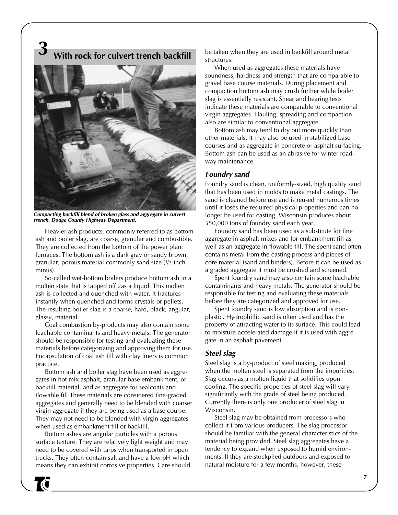**With rock for culvert trench backfill 3**



**Compacting backfill blend of broken glass and aggregate in culvert trench. Dodge County Highway Department.**

Heavier ash products, commonly referred to as bottom ash and boiler slag, are coarse, granular and combustible. They are collected from the bottom of the power plant furnaces. The bottom ash is a dark gray or sandy brown, granular, porous material commonly sand size (1⁄2-inch minus).

So-called wet-bottom boilers produce bottom ash in a molten state that is tapped off 2as a liquid. This molten ash is collected and quenched with water. It fractures instantly when quenched and forms crystals or pellets. The resulting boiler slag is a coarse, hard, black, angular, glassy, material.

Coal combustion by-products may also contain some leachable contaminants and heavy metals. The generator should be responsible for testing and evaluating these materials before categorizing and approving them for use. Encapsulation of coal ash fill with clay liners is common practice.

Bottom ash and boiler slag have been used as aggregates in hot mix asphalt, granular base embankment, or backfill material, and as aggregate for sealcoats and flowable fill.These materials are considered fine-graded aggregates and generally need to be blended with coarser virgin aggregate if they are being used as a base course. They may not need to be blended with virgin aggregates when used as embankment fill or backfill.

Bottom ashes are angular particles with a porous surface texture. They are relatively light weight and may need to be covered with tarps when transported in open trucks. They often contain salt and have a low pH which means they can exhibit corrosive properties. Care should

**10** 

be taken when they are used in backfill around metal structures.

When used as aggregates these materials have soundness, hardness and strength that are comparable to gravel base course materials. During placement and compaction bottom ash may crush further while boiler slag is essentially resistant. Shear and bearing tests indicate these materials are comparable to conventional virgin aggregates. Hauling, spreading and compaction also are similar to conventional aggregate.

Bottom ash may tend to dry out more quickly than other materials. It may also be used in stabilized base courses and as aggregate in concrete or asphalt surfacing. Bottom ash can be used as an abrasive for winter roadway maintenance.

#### **Foundry sand**

Foundry sand is clean, uniformly-sized, high quality sand that has been used in molds to make metal castings. The sand is cleaned before use and is reused numerous times until it loses the required physical properties and can no longer be used for casting. Wisconsin produces about 550,000 tons of foundry sand each year.

Foundry sand has been used as a substitute for fine aggregate in asphalt mixes and for embankment fill as well as an aggregate in flowable fill. The spent sand often contains metal from the casting process and pieces of core material (sand and binders). Before it can be used as a graded aggregate it must be crushed and screened.

Spent foundry sand may also contain some leachable contaminants and heavy metals. The generator should be responsible for testing and evaluating these materials before they are categorized and approved for use.

Spent foundry sand is low absorption and is nonplastic. Hydrophillic sand is often used and has the property of attracting water to its surface. This could lead to moisture-accelerated damage if it is used with aggregate in an asphalt pavement.

#### **Steel slag**

Steel slag is a by-product of steel making, produced when the molten steel is separated from the impurities. Slag occurs as a molten liquid that solidifies upon cooling. The specific properties of steel slag will vary significantly with the grade of steel being produced. Currently there is only one producer of steel slag in Wisconsin.

Steel slag may be obtained from processors who collect it from various producers. The slag processor should be familiar with the general characteristics of the material being provided. Steel slag aggregates have a tendency to expand when exposed to humid environments. If they are stockpiled outdoors and exposed to natural moisture for a few months, however, these